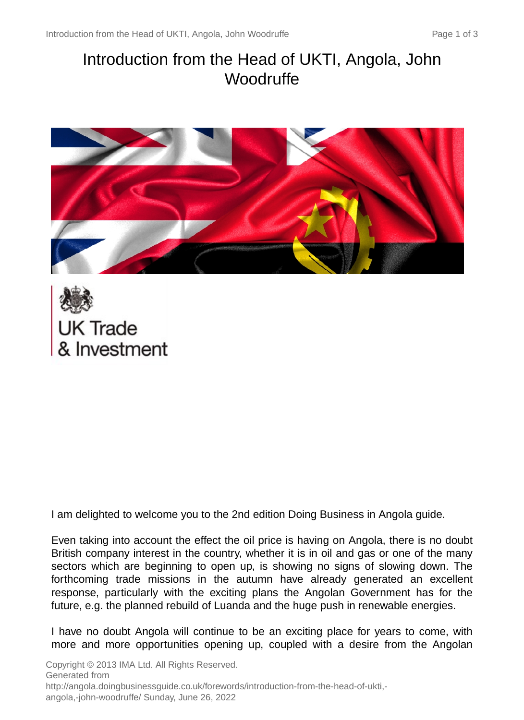# Introduction from the Head of UKTI, Angola, John **Woodruffe**





I am delighted to welcome you to the 2nd edition Doing Business in Angola guide.

Even taking into account the effect the oil price is having on Angola, there is no doubt British company interest in the country, whether it is in oil and gas or one of the many sectors which are beginning to open up, is showing no signs of slowing down. The forthcoming trade missions in the autumn have already generated an excellent response, particularly with the exciting plans the Angolan Government has for the future, e.g. the planned rebuild of Luanda and the huge push in renewable energies.

I have no doubt Angola will continue to be an exciting place for years to come, with more and more opportunities opening up, coupled with a desire from the Angolan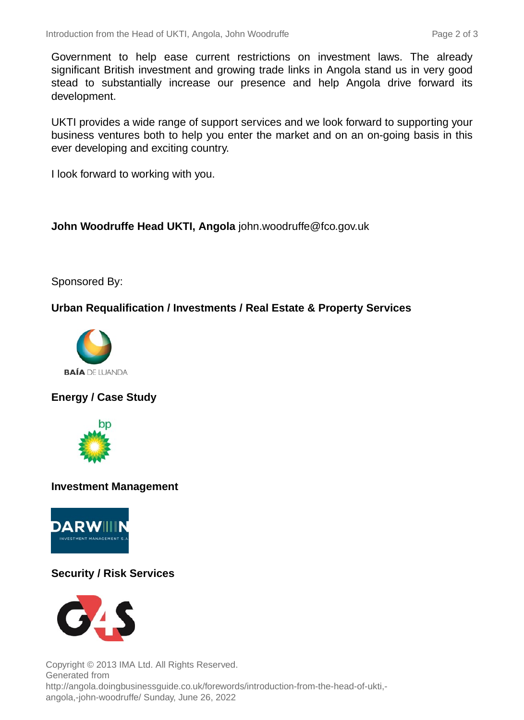Government to help ease current restrictions on investment laws. The already significant British investment and growing trade links in Angola stand us in very good stead to substantially increase our presence and help Angola drive forward its development.

UKTI provides a wide range of support services and we look forward to supporting your business ventures both to help you enter the market and on an on-going basis in this ever developing and exciting country.

I look forward to working with you.

**John Woodruffe Head UKTI, Angola** john.woodruffe@fco.gov.uk

## Sponsored By:

## **Urban Requalification / Investments / Real Estate & Property Services**



# **Energy / Case Study**



#### **Investment Management**



# **Security / Risk Services**



Copyright © 2013 IMA Ltd. All Rights Reserved. Generated from http://angola.doingbusinessguide.co.uk/forewords/introduction-from-the-head-of-ukti, angola,-john-woodruffe/ Sunday, June 26, 2022